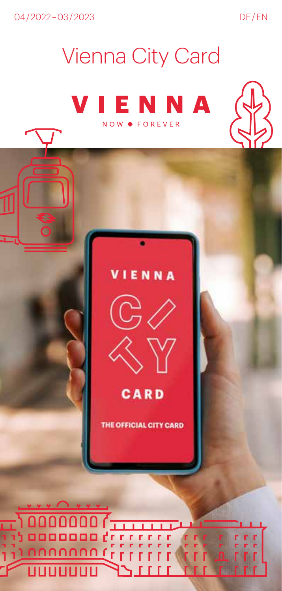04/2022-03/2023

DE/EN

## **Vienna City Card**

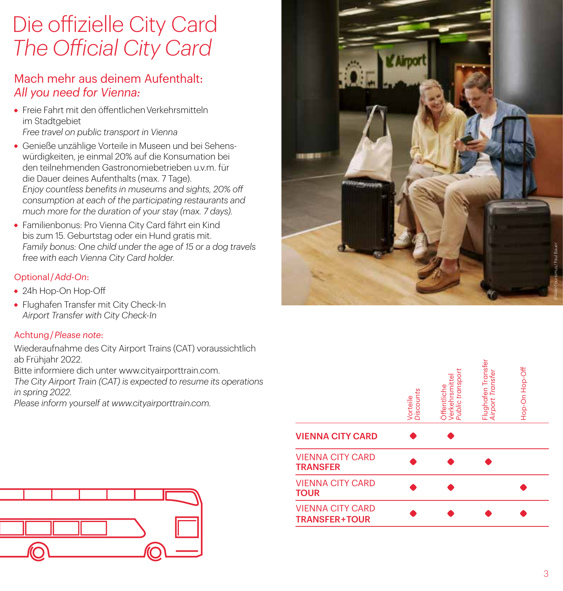## Die offizielle City Card *The Official City Card*

## Mach mehr aus deinem Aufenthalt: *All you need for Vienna:*

- Freie Fahrt mit den öffentlichen Verkehrsmitteln im Stadtgebiet *Free travel on public transport in Vienna*
- Genieße unzählige Vorteile in Museen und bei Sehenswürdigkeiten, je einmal 20% auf die Konsumation bei den teilnehmenden Gastronomiebetrieben u.v.m. für die Dauer deines Aufenthalts (max. 7 Tage). *Enjoy countless benefits in museums and sights, 20% off consumption at each of the participating restaurants and much more for the duration of your stay (max. 7 days).*
- Familienbonus: Pro Vienna City Card fährt ein Kind bis zum 15. Geburtstag oder ein Hund gratis mit. *Family bonus: One child under the age of 15 or a dog travels free with each Vienna City Card holder.*

#### Optional / *Add-On*:

- 24h Hop-On Hop-Off
- Flughafen Transfer mit City Check-In *Airport Transfer with City Check-In*

#### Achtung / *Please note*:

Wiederaufnahme des City Airport Trains (CAT) voraussichtlich ab Frühjahr 2022.

Bitte informiere dich unter www.cityairporttrain.com.

*The City Airport Train (CAT) is expected to resume its operations in spring 2022.*

*Please inform yourself at www.cityairporttrain.com.*





|                                                 | <b>Discounts</b><br>Vorteile | transport<br>Verkehrsmittel<br>Public transpo<br>Öffentliche | Flughafen Transfer<br><i>Airport Transfer</i> | Hop-On Hop-Off |
|-------------------------------------------------|------------------------------|--------------------------------------------------------------|-----------------------------------------------|----------------|
| <b>VIENNA CITY CARD</b>                         |                              |                                                              |                                               |                |
| <b>VIENNA CITY CARD</b><br><b>TRANSFER</b>      |                              |                                                              |                                               |                |
| <b>VIENNA CITY CARD</b><br><b>TOUR</b>          |                              |                                                              |                                               |                |
| <b>VIENNA CITY CARD</b><br><b>TRANSFER+TOUR</b> |                              |                                                              |                                               |                |
|                                                 |                              |                                                              |                                               |                |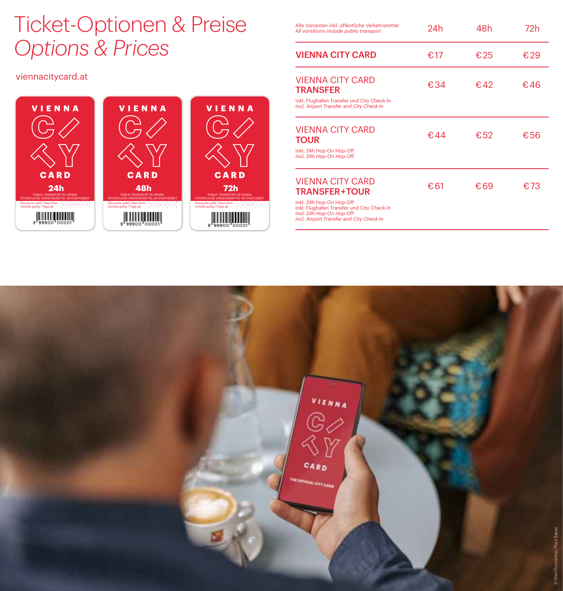## Ticket-Optionen & Preise *Options & Prices*

#### viennacitycard.at



| Alle Varianten inkl. öffentliche Verkehrsmittel<br>All variations include public transport                                                                                                 | 24h  | 48h  | 72h |
|--------------------------------------------------------------------------------------------------------------------------------------------------------------------------------------------|------|------|-----|
| <b>VIENNA CITY CARD</b>                                                                                                                                                                    | €.17 | €25  | €29 |
| <b>VIENNA CITY CARD</b><br><b>TRANSFER</b><br>inkl. Flughafen Transfer und City Check-In<br>incl. Airport Transfer and City Check-In                                                       | €.34 | €.42 | €46 |
| VIENNA CITY CARD<br><b>TOUR</b><br>inkl. 24h Hop-On Hop-Off<br>incl. 24h Hop-On Hop-Off                                                                                                    | €44  | €52  | €56 |
| VIENNA CITY CARD<br><b>TRANSFER+TOUR</b><br>inkl. 24h Hop-On Hop-Off<br>inkl. Flughafen Transfer und City Check-In<br>incl. 24h Hop-On Hop-Off<br>incl. Airport Transfer and City Check-In | €61  | €69  | €73 |

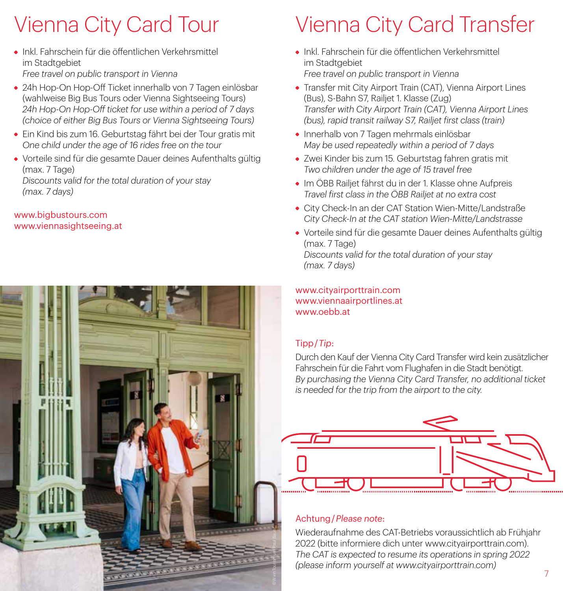## Vienna City Card Tour

- Inkl. Fahrschein für die öffentlichen Verkehrsmittel im Stadtgebiet *Free travel on public transport in Vienna*
- 24h Hop-On Hop-Off Ticket innerhalb von 7 Tagen einlösbar (wahlweise Big Bus Tours oder Vienna Sightseeing Tours) *24h Hop-On Hop-Off ticket for use within a period of 7 days (choice of either Big Bus Tours or Vienna Sightseeing Tours)*
- Ein Kind bis zum 16. Geburtstag fährt bei der Tour gratis mit *One child under the age of 16 rides free on the tour*
- Vorteile sind für die gesamte Dauer deines Aufenthalts gültig (max. 7 Tage) *Discounts valid for the total duration of your stay (max. 7 days)*

#### www.bigbustours.com www.viennasightseeing.at



## Vienna City Card Transfer

- Inkl. Fahrschein für die öffentlichen Verkehrsmittel im Stadtgebiet *Free travel on public transport in Vienna*
- Transfer mit City Airport Train (CAT), Vienna Airport Lines (Bus), S-Bahn S7, Railjet 1. Klasse (Zug) *Transfer with City Airport Train (CAT), Vienna Airport Lines (bus), rapid transit railway S7, Railjet first class (train)*
- Innerhalb von 7 Tagen mehrmals einlösbar *May be used repeatedly within a period of 7 days*
- Zwei Kinder bis zum 15. Geburtstag fahren gratis mit *Two children under the age of 15 travel free*
- Im ÖBB Railjet fährst du in der 1. Klasse ohne Aufpreis *Travel first class in the ÖBB Railjet at no extra cost*
- City Check-In an der CAT Station Wien-Mitte/Landstraße *City Check-In at the CAT station Wien-Mitte/Landstrasse*
- Vorteile sind für die gesamte Dauer deines Aufenthalts gültig (max. 7 Tage) *Discounts valid for the total duration of your stay (max. 7 days)*

www.cityairporttrain.com www.viennaairportlines.at www.oebb.at

#### Tipp / *Tip*:

Durch den Kauf der Vienna City Card Transfer wird kein zusätzlicher Fahrschein für die Fahrt vom Flughafen in die Stadt benötigt. *By purchasing the Vienna City Card Transfer, no additional ticket is needed for the trip from the airport to the city.*

#### Achtung / *Please note*:

Wiederaufnahme des CAT-Betriebs voraussichtlich ab Frühjahr 2022 (bitte informiere dich unter www.cityairporttrain.com). *The CAT is expected to resume its operations in spring 2022 (please inform yourself at www.cityairporttrain.com)*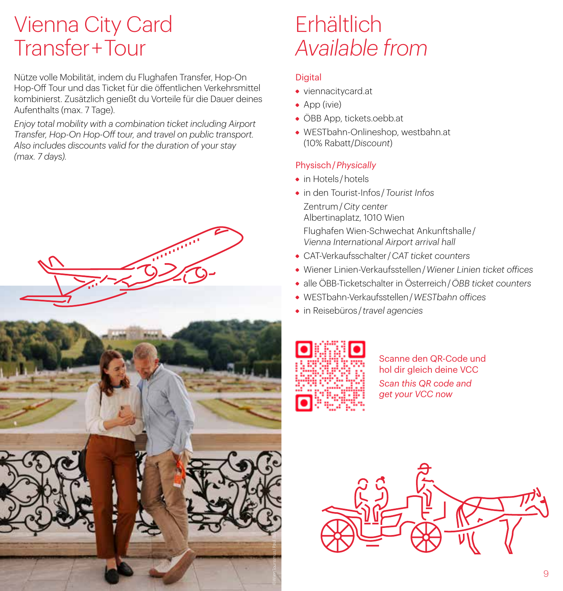## Vienna City Card Transfer + Tour

Nütze volle Mobilität, indem du Flughafen Transfer, Hop-On Hop-Off Tour und das Ticket für die öffentlichen Verkehrsmittel kombinierst. Zusätzlich genießt du Vorteile für die Dauer deines Aufenthalts (max. 7 Tage).

*Enjoy total mobility with a combination ticket including Airport Transfer, Hop-On Hop-Off tour, and travel on public transport. Also includes discounts valid for the duration of your stay (max. 7 days).*



## Erhältlich *Available from*

#### **Digital**

- viennacitycard.at
- App (ivie)
- ÖBB App, tickets.oebb.at
- WESTbahn-Onlineshop, westbahn.at (10% Rabatt/*Discount*)

#### Physisch / *Physically*

- in Hotels / hotels
- in den Tourist-Infos / *Tourist Infos*
	- Zentrum / *City center* Albertinaplatz, 1010 Wien

Flughafen Wien-Schwechat Ankunftshalle /  *Vienna International Airport arrival hall*

- CAT-Verkaufsschalter / *CAT ticket counters*
- Wiener Linien-Verkaufsstellen / *Wiener Linien ticket offices*
- alle ÖBB-Ticketschalter in Österreich / *ÖBB ticket counters*
- WESTbahn-Verkaufsstellen / *WESTbahn offices*
- in Reisebüros / *travel agencies*



Scanne den QR-Code und hol dir gleich deine VCC *Scan this QR code and get your VCC now*

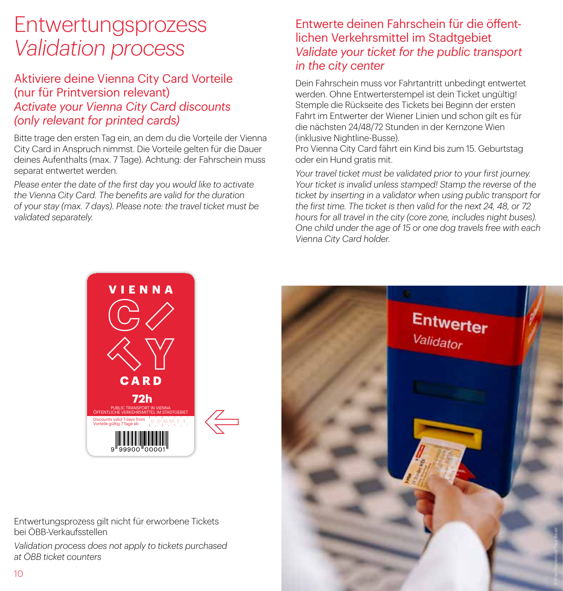## Entwertungsprozess *Validation process*

## Aktiviere deine Vienna City Card Vorteile (nur für Printversion relevant) *Activate your Vienna City Card discounts (only relevant for printed cards)*

Bitte trage den ersten Tag ein, an dem du die Vorteile der Vienna City Card in Anspruch nimmst. Die Vorteile gelten für die Dauer deines Aufenthalts (max. 7 Tage). Achtung: der Fahrschein muss separat entwertet werden.

*Please enter the date of the first day you would like to activate the Vienna City Card. The benefits are valid for the duration of your stay (max. 7 days). Please note: the travel ticket must be validated separately.*

## Entwerte deinen Fahrschein für die öffentlichen Verkehrsmittel im Stadtgebiet *Validate your ticket for the public transport in the city center*

Dein Fahrschein muss vor Fahrtantritt unbedingt entwertet werden. Ohne Entwerterstempel ist dein Ticket ungültig! Stemple die Rückseite des Tickets bei Beginn der ersten Fahrt im Entwerter der Wiener Linien und schon gilt es für die nächsten 24/48/72 Stunden in der Kernzone Wien (inklusive Nightline-Busse).

Pro Vienna City Card fährt ein Kind bis zum 15. Geburtstag oder ein Hund gratis mit.

*Your travel ticket must be validated prior to your first journey. Your ticket is invalid unless stamped! Stamp the reverse of the ticket by inserting in a validator when using public transport for the first time. The ticket is then valid for the next 24, 48, or 72 hours for all travel in the city (core zone, includes night buses). One child under the age of 15 or one dog travels free with each Vienna City Card holder.*



Entwertungsprozess gilt nicht für erworbene Tickets bei ÖBB-Verkaufsstellen

*Validation process does not apply to tickets purchased at ÖBB ticket counters*

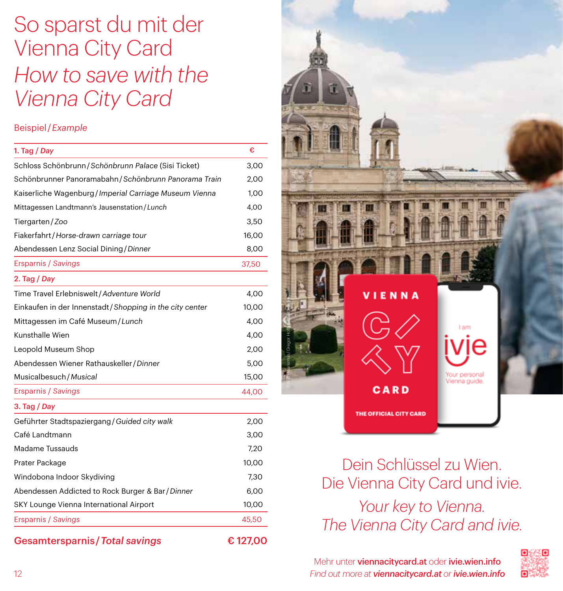## So sparst du mit der Vienna City Card *How to save with the Vienna City Card*

#### Beispiel / *Example*

| 1. Tag $/$ Day                                          | €       |
|---------------------------------------------------------|---------|
| Schloss Schönbrunn / Schönbrunn Palace (Sisi Ticket)    | 3,00    |
| Schönbrunner Panoramabahn / Schönbrunn Panorama Train   | 2,00    |
| Kaiserliche Wagenburg / Imperial Carriage Museum Vienna | 1,00    |
| Mittagessen Landtmann's Jausenstation/Lunch             | 4,00    |
| Tiergarten/Zoo                                          | 3,50    |
| Fiakerfahrt/Horse-drawn carriage tour                   | 16,00   |
| Abendessen Lenz Social Dining / Dinner                  | 8,00    |
| Ersparnis / Savings                                     | 37,50   |
| 2. Tag $/$ Day                                          |         |
| Time Travel Erlebniswelt / Adventure World              | 4,00    |
| Einkaufen in der Innenstadt/Shopping in the city center | 10,00   |
| Mittagessen im Café Museum / Lunch                      | 4,00    |
| Kunsthalle Wien                                         | 4,00    |
| Leopold Museum Shop                                     | 2,00    |
| Abendessen Wiener Rathauskeller / Dinner                | 5,00    |
| Musicalbesuch/Musical                                   | 15,00   |
| <b>Ersparnis / Savings</b>                              | 44,00   |
| 3. Tag / Day                                            |         |
| Geführter Stadtspaziergang / Guided city walk           | 2,00    |
| Café Landtmann                                          | 3,00    |
| Madame Tussauds                                         | 7,20    |
| Prater Package                                          | 10,00   |
| Windobona Indoor Skydiving                              | 7.30    |
| Abendessen Addicted to Rock Burger & Bar/Dinner         | 6,00    |
| SKY Lounge Vienna International Airport                 | 10,00   |
| <b>Ersparnis / Savings</b>                              | 45,50   |
| <b>Gesamtersparnis / Total savings</b>                  | €127,00 |



Dein Schlüssel zu Wien. Die Vienna City Card und ivie. *Your key to Vienna. The Vienna City Card and ivie.*

Mehr unter viennacitycard.at oder ivie.wien.info *Find out more at viennacitycard.at or ivie.wien.info*

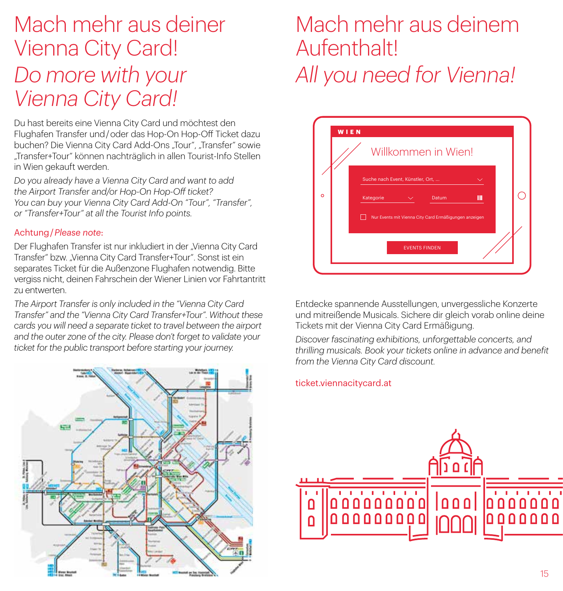## Mach mehr aus deiner Vienna City Card! *Do more with your Vienna City Card!*

Du hast bereits eine Vienna City Card und möchtest den Flughafen Transfer und / oder das Hop-On Hop-Off Ticket dazu buchen? Die Vienna City Card Add-Ons "Tour", "Transfer" sowie "Transfer+Tour" können nachträglich in allen Tourist-Info Stellen in Wien gekauft werden.

*Do you already have a Vienna City Card and want to add the Airport Transfer and/or Hop-On Hop-Off ticket? You can buy your Vienna City Card Add-On "Tour", "Transfer", or "Transfer+Tour" at all the Tourist Info points.*

#### Achtung / *Please note*:

Der Flughafen Transfer ist nur inkludiert in der "Vienna City Card Transfer" bzw. "Vienna City Card Transfer+Tour". Sonst ist ein separates Ticket für die Außenzone Flughafen notwendig. Bitte vergiss nicht, deinen Fahrschein der Wiener Linien vor Fahrtantritt zu entwerten.

*The Airport Transfer is only included in the "Vienna City Card Transfer" and the "Vienna City Card Transfer+Tour". Without these cards you will need a separate ticket to travel between the airport and the outer zone of the city. Please don't forget to validate your ticket for the public transport before starting your journey.*



## Mach mehr aus deinem Aufenthalt! *All you need for Vienna!*



Entdecke spannende Ausstellungen, unvergessliche Konzerte und mitreißende Musicals. Sichere dir gleich vorab online deine Tickets mit der Vienna City Card Ermäßigung.

*Discover fascinating exhibitions, unforgettable concerts, and thrilling musicals. Book your tickets online in advance and benefit from the Vienna City Card discount.*

#### ticket.viennacitycard.at

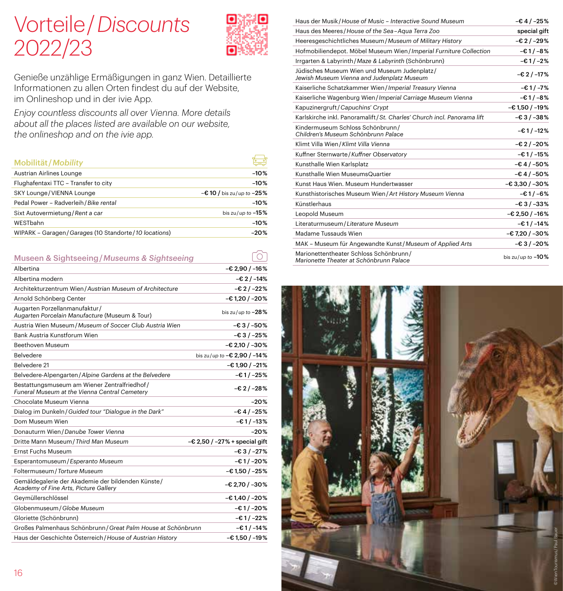## Vorteile / *Discounts* 2022/23



 $\lceil \hat{O} \rceil$ 

Genieße unzählige Ermäßigungen in ganz Wien. Detaillierte Informationen zu allen Orten findest du auf der Website, im Onlineshop und in der ivie App.

*Enjoy countless discounts all over Vienna. More details about all the places listed are available on our website, the onlineshop and on the ivie app.*

| Mobilität/Mobility                                       |                              |
|----------------------------------------------------------|------------------------------|
| Austrian Airlines Lounge                                 | $-10%$                       |
| Flughafentaxi TTC - Transfer to city                     | $-10%$                       |
| SKY Lounge/VIENNA Lounge                                 | $-€10$ / bis zu/up to $-25%$ |
| Pedal Power - Radverleih / Bike rental                   | $-10%$                       |
| Sixt Autovermietung / Rent a car                         | bis zu/up to $-15%$          |
| WESTbahn                                                 | $-10%$                       |
| WIPARK - Garagen / Garages (10 Standorte / 10 locations) | $-20%$                       |
|                                                          |                              |

Museen & Sightseeing / *Museums & Sightseeing*

| Albertina                                                                                     | $-62,90/ -16%$                  |
|-----------------------------------------------------------------------------------------------|---------------------------------|
| Albertina modern                                                                              | $-62/ -14%$                     |
| Architekturzentrum Wien/Austrian Museum of Architecture                                       | $-€2/-22%$                      |
| Arnold Schönberg Center                                                                       | $-61,20/ -20%$                  |
| Augarten Porzellanmanufaktur/<br>Augarten Porcelain Manufacture (Museum & Tour)               | bis zu/up to $-28\%$            |
| Austria Wien Museum/Museum of Soccer Club Austria Wien                                        | -€3/-50%                        |
| Bank Austria Kunstforum Wien                                                                  | $-63/ -25%$                     |
| Beethoven Museum                                                                              | $-62,10/ -30%$                  |
| <b>Belvedere</b>                                                                              | bis zu/up to $-62,90$ / $-14\%$ |
| Belvedere 21                                                                                  | -€ 1,90 / -21%                  |
| Belvedere-Alpengarten/Alpine Gardens at the Belvedere                                         | $-€1/-25%$                      |
| Bestattungsmuseum am Wiener Zentralfriedhof/<br>Funeral Museum at the Vienna Central Cemetery | $-€2$ / $-28%$                  |
| Chocolate Museum Vienna                                                                       | $-20%$                          |
| Dialog im Dunkeln / Guided tour "Dialogue in the Dark"                                        | $-€4/ -25%$                     |
| Dom Museum Wien                                                                               | $-61/ -13%$                     |
| Donauturm Wien / Danube Tower Vienna                                                          | $-20%$                          |
| Dritte Mann Museum / Third Man Museum                                                         | $-€ 2,50 / -27% + special gift$ |
| <b>Ernst Fuchs Museum</b>                                                                     | $-63/ -27%$                     |
| Esperantomuseum / Esperanto Museum                                                            | -€1/-20%                        |
| Foltermuseum / Torture Museum                                                                 | -€1,50 / -25%                   |
| Gemäldegalerie der Akademie der bildenden Künste/<br>Academy of Fine Arts, Picture Gallery    | $-62,70/ -30%$                  |
| Geymüllerschlössel                                                                            | -€1,40 / -20%                   |
| Globenmuseum / Globe Museum                                                                   | -€1/-20%                        |
| Gloriette (Schönbrunn)                                                                        | -€1/-22%                        |
| Großes Palmenhaus Schönbrunn / Great Palm House at Schönbrunn                                 | -€1/-14%                        |
| Haus der Geschichte Österreich/House of Austrian History                                      | $-€1,50/$ -19%                  |

| Haus der Musik / House of Music - Interactive Sound Museum                                 | $-64/ -25%$          |
|--------------------------------------------------------------------------------------------|----------------------|
| Haus des Meeres/House of the Sea-Aqua Terra Zoo                                            | special gift         |
| Heeresgeschichtliches Museum / Museum of Military History                                  | $-€2/-29%$           |
| Hofmobiliendepot. Möbel Museum Wien/Imperial Furniture Collection                          | $-61/ -8%$           |
| Irrgarten & Labyrinth / Maze & Labyrinth (Schönbrunn)                                      | $-61/ -2%$           |
| Jüdisches Museum Wien und Museum Judenplatz/<br>Jewish Museum Vienna and Judenplatz Museum | $-62/ -17%$          |
| Kaiserliche Schatzkammer Wien/Imperial Treasury Vienna                                     | $-61/ -7%$           |
| Kaiserliche Wagenburg Wien/Imperial Carriage Museum Vienna                                 | $-€1/-8%$            |
| Kapuzinergruft / Capuchins' Crypt                                                          | $-61,50/ -19%$       |
| Karlskirche inkl. Panoramalift / St. Charles' Church incl. Panorama lift                   | $-63/ -38%$          |
| Kindermuseum Schloss Schönbrunn/<br>Children's Museum Schönbrunn Palace                    | $-61/ -12%$          |
| Klimt Villa Wien / Klimt Villa Vienna                                                      | $-62/ -20%$          |
| Kuffner Sternwarte/Kuffner Observatory                                                     | $-61/ -15%$          |
| Kunsthalle Wien Karlsplatz                                                                 | $-64/ -50%$          |
| Kunsthalle Wien MuseumsQuartier                                                            | $-64/ -50%$          |
| Kunst Haus Wien, Museum Hundertwasser                                                      | $-63,30/-30%$        |
| Kunsthistorisches Museum Wien/Art History Museum Vienna                                    | $-61/ -6%$           |
| Künstlerhaus                                                                               | $-63/ -33%$          |
| Leopold Museum                                                                             | $-62,50/ -16%$       |
| Literaturmuseum / Literature Museum                                                        | $-€1/-14%$           |
| Madame Tussauds Wien                                                                       | $-67,20/-30%$        |
| MAK - Museum für Angewandte Kunst/Museum of Applied Arts                                   | $-63/ -20%$          |
| Marionettentheater Schloss Schönbrunn/<br>Marionette Theater at Schönbrunn Palace          | bis zu/up to $-10\%$ |

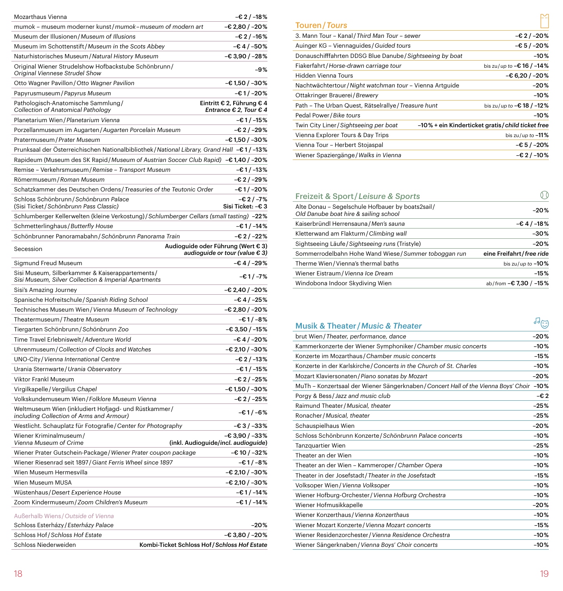| Mozarthaus Vienna                                                                                       | $-€2$ / $-18%$                                      |
|---------------------------------------------------------------------------------------------------------|-----------------------------------------------------|
| mumok - museum moderner kunst/mumok-museum of modern art                                                | $-62,80/-20%$                                       |
| Museum der Illusionen/Museum of Illusions                                                               | $-€2$ / $-16%$                                      |
| Museum im Schottenstift/Museum in the Scots Abbey                                                       | -€4/-50%                                            |
| Naturhistorisches Museum / Natural History Museum                                                       | -€3,90 / -28%                                       |
| Original Wiener Strudelshow Hofbackstube Schönbrunn/<br>Original Viennese Strudel Show                  | -9%                                                 |
| Otto Wagner Pavillon / Otto Wagner Pavilion                                                             | -€1,50/-30%                                         |
| Papyrusmuseum / Papyrus Museum                                                                          | -€1/-20%                                            |
| Pathologisch-Anatomische Sammlung/<br>Collection of Anatomical Pathology                                | Eintritt € 2, Führung € 4<br>Entrance € 2, Tour € 4 |
| Planetarium Wien / Planetarium Vienna                                                                   | $-€1/-15%$                                          |
| Porzellanmuseum im Augarten / Augarten Porcelain Museum                                                 | -€ 2 / -29%                                         |
| Pratermuseum / Prater Museum                                                                            | $-€1,50/ -30%$                                      |
| Prunksaal der Österreichischen Nationalbibliothek / National Library, Grand Hall -€1/-13%               |                                                     |
| Rapideum (Museum des SK Rapid/Museum of Austrian Soccer Club Rapid) -€1,40 / -20%                       |                                                     |
| Remise - Verkehrsmuseum/Remise - Transport Museum                                                       | $-€1/-13%$                                          |
| Römermuseum / Roman Museum                                                                              | -€2/-29%                                            |
| Schatzkammer des Deutschen Ordens / Treasuries of the Teutonic Order                                    | -€1/-20%                                            |
| Schloss Schönbrunn / Schönbrunn Palace<br>(Sisi Ticket/Schönbrunn Pass Classic)                         | $-62/ -7%$<br>Sisi Ticket: -€ 3                     |
| Schlumberger Kellerwelten (kleine Verkostung) / Schlumberger Cellars (small tasting) -22%               |                                                     |
| Schmetterlinghaus / Butterfly House                                                                     | $-€1/-14%$                                          |
| Schönbrunner Panoramabahn / Schönbrunn Panorama Train                                                   | $-€2$ /-22%                                         |
|                                                                                                         | Audioguide oder Führung (Wert € 3)                  |
| Secession                                                                                               | audioguide or tour (value € 3)                      |
| Sigmund Freud Museum                                                                                    | -€4/-29%                                            |
| Sisi Museum, Silberkammer & Kaiserappartements/<br>Sisi Museum, Silver Collection & Imperial Apartments | $-€1/-7%$                                           |
| Sisi's Amazing Journey                                                                                  | -€ 2,40 / -20%                                      |
| Spanische Hofreitschule/Spanish Riding School                                                           | -€4/-25%                                            |
| Technisches Museum Wien/Vienna Museum of Technology                                                     | -€ 2,80 / -20%                                      |
| Theatermuseum / Theatre Museum                                                                          | -€1/-8%                                             |
| Tiergarten Schönbrunn / Schönbrunn Zoo                                                                  | -€ 3,50 / -15%                                      |
| Time Travel Erlebniswelt / Adventure World                                                              | $-€4/ -20%$                                         |
| Uhrenmuseum / Collection of Clocks and Watches                                                          | $-€ 2,10 / -30%$                                    |
| UNO-City / Vienna International Centre                                                                  | $-€2$ / $-13%$                                      |
| Urania Sternwarte / Urania Observatory                                                                  | $-€1/-15%$                                          |
| Viktor Frankl Museum                                                                                    | -€2/-25%                                            |
| Virgilkapelle / Vergilius Chapel                                                                        | -€ 1,50 / -30%                                      |
| Volkskundemuseum Wien / Folklore Museum Vienna                                                          | $-€2$ / $-25%$                                      |
| Weltmuseum Wien (inkludiert Hofjagd- und Rüstkammer/<br>including Collection of Arms and Armour)        | -€1/-6%                                             |
| Westlicht. Schauplatz für Fotografie/Center for Photography                                             | $-€3$ / $-33%$                                      |
| Wiener Kriminalmuseum/<br>Vienna Museum of Crime                                                        | -€3,90/-33%<br>(inkl. Audioguide/incl. audioguide)  |
| Wiener Prater Gutschein-Package / Wiener Prater coupon package                                          | $-€10 / -32%$                                       |
| Wiener Riesenrad seit 1897 / Giant Ferris Wheel since 1897                                              | -€1/-8%                                             |
| Wien Museum Hermesvilla                                                                                 | -€ 2,10 / -30%                                      |
| Wien Museum MUSA                                                                                        | $-€ 2,10 / -30%$                                    |
| Wüstenhaus / Desert Experience House                                                                    | -€1/-14%                                            |
| Zoom Kindermuseum / Zoom Children's Museum                                                              | -€1/-14%                                            |
|                                                                                                         |                                                     |
| Außerhalb Wiens / Outside of Vienna                                                                     |                                                     |
| Schloss Esterházy / Esterházy Palace                                                                    | $-20%$                                              |
| Schloss Hof / Schloss Hof Estate                                                                        | -€ 3,80 / -20%                                      |
| Schloss Niederweiden                                                                                    | Kombi-Ticket Schloss Hof/Schloss Hof Estate         |

| <b>Touren/Tours</b>                                       |                                                  |
|-----------------------------------------------------------|--------------------------------------------------|
| 3. Mann Tour - Kanal / Third Man Tour - sewer             | $-62/ -20%$                                      |
| Auinger KG - Viennaguides / Guided tours                  | $-€5/ -20%$                                      |
| Donauschifffahrten DDSG Blue Danube / Sightseeing by boat | $-10%$                                           |
| Fiakerfahrt / Horse-drawn carriage tour                   | bis zu/up to $-€16$ / $-14%$                     |
| Hidden Vienna Tours                                       | $-€ 6,20 / -20%$                                 |
| Nachtwächtertour / Night watchman tour - Vienna Artguide  | $-20%$                                           |
| Ottakringer Brauerei/Brewery                              | $-10%$                                           |
| Path - The Urban Quest, Rätselrallye / Treasure hunt      | bis zu/up to $-€18$ / $-12%$                     |
| Pedal Power / Bike tours                                  | $-10%$                                           |
| Twin City Liner/Sightseeing per boat                      | -10% + ein Kinderticket gratis/child ticket free |
| Vienna Explorer Tours & Day Trips                         | bis zu/up to $-11\%$                             |
| Vienna Tour - Herbert Stojaspal                           | $-65/ -20%$                                      |
| Wiener Spaziergänge / Walks in Vienna                     | $-62/ -10%$                                      |

| Freizeit & Sport/Leisure & Sports                                                         | ) ()                     |
|-------------------------------------------------------------------------------------------|--------------------------|
| Alte Donau - Segelschule Hofbauer by boats2sail/<br>Old Danube boat hire & sailing school | $-20%$                   |
| Kaiserbründl Herrensauna / Men's sauna                                                    | $-64/ -18%$              |
| Kletterwand am Flakturm/Climbing wall                                                     | $-30%$                   |
| Sightseeing Läufe/Sightseeing runs (Tristyle)                                             | $-20%$                   |
| Sommerrodelbahn Hohe Wand Wiese/Summer toboggan run                                       | eine Freifahrt/free ride |
| Therme Wien/Vienna's thermal baths                                                        | bis zu/up to $-10\%$     |
| Wiener Eistraum / Vienna Ice Dream                                                        | $-15%$                   |
| Windobona Indoor Skydiving Wien                                                           | ab/from -€ 7,30 / -15%   |

| <b>Musik &amp; Theater/Music &amp; Theater</b>                                      |        |
|-------------------------------------------------------------------------------------|--------|
| brut Wien/Theater, performance, dance                                               | $-20%$ |
| Kammerkonzerte der Wiener Symphoniker / Chamber music concerts                      | $-10%$ |
| Konzerte im Mozarthaus / Chamber music concerts                                     | $-15%$ |
| Konzerte in der Karlskirche / Concerts in the Church of St. Charles                 | $-10%$ |
| Mozart Klaviersonaten / Piano sonatas by Mozart                                     | $-20%$ |
| MuTh - Konzertsaal der Wiener Sängerknaben / Concert Hall of the Vienna Boys' Choir | $-10%$ |
| Porgy & Bess / Jazz and music club                                                  | -€2    |
| Raimund Theater / Musical, theater                                                  | $-25%$ |
| Ronacher / Musical, theater                                                         | $-25%$ |
| Schauspielhaus Wien                                                                 | $-20%$ |
| Schloss Schönbrunn Konzerte / Schönbrunn Palace concerts                            | $-10%$ |
| Tanzquartier Wien                                                                   | $-25%$ |
| Theater an der Wien                                                                 | $-10%$ |
| Theater an der Wien - Kammeroper / Chamber Opera                                    | $-10%$ |
| Theater in der Josefstadt/Theater in the Josefstadt                                 | $-15%$ |
| Volksoper Wien / Vienna Volksoper                                                   | $-10%$ |
| Wiener Hofburg-Orchester / Vienna Hofburg Orchestra                                 | $-10%$ |
| Wiener Hofmusikkapelle                                                              | $-20%$ |
| Wiener Konzerthaus / Vienna Konzerthaus                                             | $-10%$ |
| Wiener Mozart Konzerte / Vienna Mozart concerts                                     | $-15%$ |
| Wiener Residenzorchester / Vienna Residence Orchestra                               | $-10%$ |
| Wiener Sängerknaben / Vienna Boys' Choir concerts                                   | $-10%$ |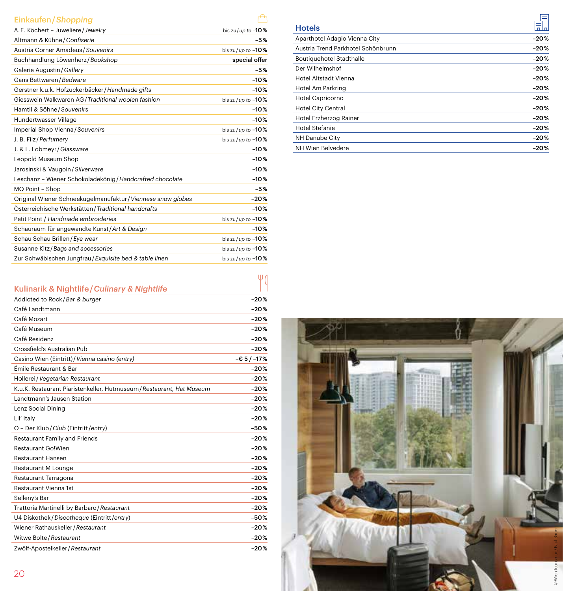#### Einkaufen / *Shopping*

| A.E. Köchert - Juweliere / Jewelry                           | bis zu/up to $-10\%$ |
|--------------------------------------------------------------|----------------------|
| Altmann & Kühne / Confiserie                                 | $-5%$                |
| Austria Corner Amadeus / Souvenirs                           | bis zu/up to $-10\%$ |
| Buchhandlung Löwenherz / Bookshop                            | special offer        |
| Galerie Augustin / Gallery                                   | $-5%$                |
| Gans Bettwaren / Bedware                                     | $-10%$               |
| Gerstner k.u.k. Hofzuckerbäcker / Handmade gifts             | $-10%$               |
| Giesswein Walkwaren AG / Traditional woolen fashion          | bis zu/up to $-10$ % |
| Hamtil & Söhne / Souvenirs                                   | $-10%$               |
| Hundertwasser Village                                        | $-10%$               |
| Imperial Shop Vienna / Souvenirs                             | bis zu/up to $-10\%$ |
| J. B. Filz / Perfumery                                       | bis zu/up to $-10\%$ |
| J. & L. Lobmeyr / Glassware                                  | $-10%$               |
| Leopold Museum Shop                                          | $-10%$               |
| Jarosinski & Vaugoin / Silverware                            | $-10%$               |
| Leschanz - Wiener Schokoladekönig / Handcrafted chocolate    | $-10%$               |
| MQ Point - Shop                                              | $-5%$                |
| Original Wiener Schneekugelmanufaktur / Viennese snow globes | $-20%$               |
| Österreichische Werkstätten / Traditional handcrafts         | $-10%$               |
| Petit Point / Handmade embroideries                          | bis zu/up to $-10\%$ |
| Schauraum für angewandte Kunst/Art & Design                  | $-10%$               |
| Schau Schau Brillen / Eye wear                               | bis zu/up to $-10\%$ |
| Susanne Kitz/Bags and accessories                            | bis zu/up to $-10\%$ |
| Zur Schwäbischen Jungfrau / Exquisite bed & table linen      | bis zu/up to $-10\%$ |

|  | Kulinarik & Nightlife / Culinary & Nightlife |
|--|----------------------------------------------|
|--|----------------------------------------------|

| Kulinarik & Nightlife / Culinary & Nightlife                          |             |
|-----------------------------------------------------------------------|-------------|
| Addicted to Rock/Bar & burger                                         | $-20%$      |
| Café Landtmann                                                        | $-20%$      |
| Café Mozart                                                           | $-20%$      |
| Café Museum                                                           | $-20%$      |
| Café Residenz                                                         | $-20%$      |
| Crossfield's Australian Pub                                           | $-20%$      |
| Casino Wien (Eintritt) / Vienna casino (entry)                        | $-65/ -17%$ |
| Émile Restaurant & Bar                                                | $-20%$      |
| Hollerei / Vegetarian Restaurant                                      | $-20%$      |
| K.u.K. Restaurant Piaristenkeller, Hutmuseum / Restaurant, Hat Museum | $-20%$      |
| Landtmann's Jausen Station                                            | $-20%$      |
| Lenz Social Dining                                                    | $-20%$      |
| Lil' Italy                                                            | $-20%$      |
| O - Der Klub / Club (Eintritt / entry)                                | $-50%$      |
| Restaurant Family and Friends                                         | $-20%$      |
| Restaurant Go!Wien                                                    | $-20%$      |
| <b>Restaurant Hansen</b>                                              | $-20%$      |
| Restaurant M Lounge                                                   | $-20%$      |
| Restaurant Tarragona                                                  | $-20%$      |
| Restaurant Vienna 1st                                                 | $-20%$      |
| Selleny's Bar                                                         | $-20%$      |
| Trattoria Martinelli by Barbaro / Restaurant                          | $-20%$      |
| U4 Diskothek / Discotheque (Eintritt / entry)                         | $-50%$      |
| Wiener Rathauskeller / Restaurant                                     | $-20%$      |
| Witwe Bolte / Restaurant                                              | $-20%$      |
| Zwölf-Apostelkeller / Restaurant                                      | $-20%$      |

| <b>Hotels</b>                      |        |
|------------------------------------|--------|
| Aparthotel Adagio Vienna City      | $-20%$ |
| Austria Trend Parkhotel Schönbrunn | $-20%$ |
| Boutiquehotel Stadthalle           | $-20%$ |
| Der Wilhelmshof                    | $-20%$ |
| Hotel Altstadt Vienna              | $-20%$ |
| Hotel Am Parkring                  | $-20%$ |
| Hotel Capricorno                   | $-20%$ |
| Hotel City Central                 | $-20%$ |
| Hotel Erzherzog Rainer             | $-20%$ |
| Hotel Stefanie                     | $-20%$ |
| NH Danube City                     | $-20%$ |
| NH Wien Belvedere                  | $-20%$ |

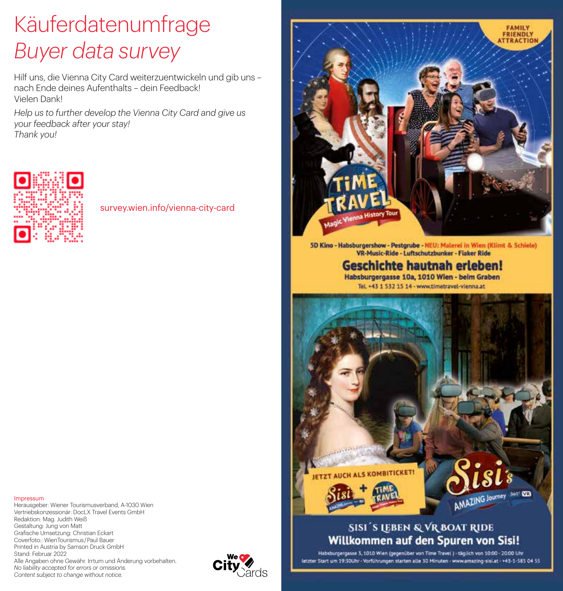## Käuferdatenumfrage *Buyer data survey*

Hilf uns, die Vienna City Card weiterzuentwickeln und gib uns – nach Ende deines Aufenthalts – dein Feedback! Vielen Dank!

*Help us to further develop the Vienna City Card and give us your feedback after your stay! Thank you!*



survey.wien.info/vienna-city-card

# **FAMILY FRIENDLY TRACTION**

5D Kino - Habsburgershow - Pestgrube - NEU: Malerei in Wien (Klimt & Schiele) VR-Music-Ride - Luftschutzbunker - Flaker Ride

> **Geschichte hautnah erleben!** Habsburgergasse 10a, 1010 Wien - beim Graben Tel. +43 1 532 15 14 - www.timetravel-vienna.at



## **SISI'S LEBEN & VR BOAT RIDE** Willkommen auf den Spuren von Sisi!

Impressum

Herausgeber: Wiener Tourismusverband, A-1030 Wien Vertriebskonzessionär: DocLX Travel Events GmbH Redaktion: Mag. Judith Weiß Gestaltung: Jung von Matt Grafische Umsetzung: Christian Eckart Coverfoto:: WienTourismus / Paul Bauer Printed in Austria by Samson Druck GmbH Stand: Februar 2022 Alle Angaben ohne Gewähr. Irrtum und Änderung vorbehalten. *No liability accepted for errors or omissions. Content subject to change without notice.*



Habsburgergasse 3, 1010 Wien (gegenüber von Time Travel) - täglich von 10:00 - 20:00 Lite letzter Start um 19:30Uhr - Vorführungen starten alle 30 Minuten - www.amazing-sisi.at - +43-1-585 04 55